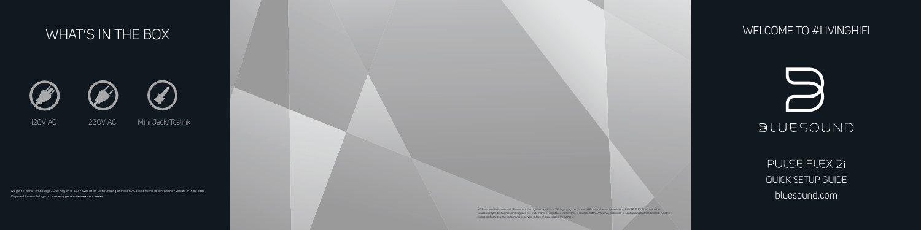PULSE FLEX 21 QUICK SETUP GUIDE bluesound.com



# **BLUESOUND**





120V AC 230V AC Mini Jack/Toslink

 $\,|\,$  Qu'y a-t-il dans l'emballage / Qué hay en la caja / Was ist im Lieferumfang enthalten / Cosa contiene la confezione / Wat zit er in de doos  $\,$ O que está na embalagem / Что входит в комплект поставки

> © Bluesound International. Bluesound, the stylized wordmark "B" logotype, the phrase "HiFi for a wireless generation", PULSE FLEX 2i and all other<br>Bluesound product names and taglines are trademarks or registered trademark logos and services are trademarks or service marks of their respective owners.